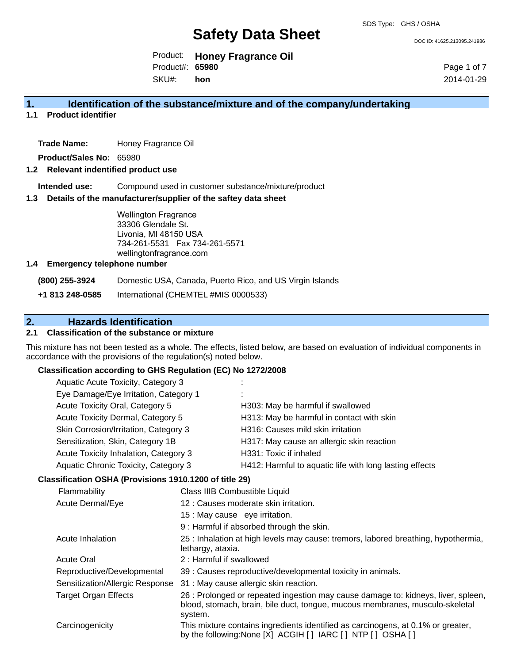DOC ID: 41625.213095.241936

Product: **Honey Fragrance Oil** SKU#: Product#: **65980 hon**

Page 1 of 7 2014-01-29

## **1. Identification of the substance/mixture and of the company/undertaking**

**1.1 Product identifier**

**Trade Name:** Honey Fragrance Oil

**Product/Sales No:** 65980

## **1.2 Relevant indentified product use**

**Intended use:** Compound used in customer substance/mixture/product

#### **1.3 Details of the manufacturer/supplier of the saftey data sheet**

Wellington Fragrance 33306 Glendale St. Livonia, MI 48150 USA 734-261-5531 Fax 734-261-5571 wellingtonfragrance.com

#### **1.4 Emergency telephone number**

**(800) 255-3924** Domestic USA, Canada, Puerto Rico, and US Virgin Islands

**+1 813 248-0585** International (CHEMTEL #MIS 0000533)

## **2. Hazards Identification**

## **2.1 Classification of the substance or mixture**

This mixture has not been tested as a whole. The effects, listed below, are based on evaluation of individual components in accordance with the provisions of the regulation(s) noted below.

#### **Classification according to GHS Regulation (EC) No 1272/2008**

| Aquatic Acute Toxicity, Category 3    |                                                         |
|---------------------------------------|---------------------------------------------------------|
| Eye Damage/Eye Irritation, Category 1 |                                                         |
| Acute Toxicity Oral, Category 5       | H303: May be harmful if swallowed                       |
| Acute Toxicity Dermal, Category 5     | H313: May be harmful in contact with skin               |
| Skin Corrosion/Irritation, Category 3 | H316: Causes mild skin irritation                       |
| Sensitization, Skin, Category 1B      | H317: May cause an allergic skin reaction               |
| Acute Toxicity Inhalation, Category 3 | H331: Toxic if inhaled                                  |
| Aquatic Chronic Toxicity, Category 3  | H412: Harmful to aquatic life with long lasting effects |
|                                       |                                                         |

#### **Classification OSHA (Provisions 1910.1200 of title 29)**

| Flammability                    | Class IIIB Combustible Liquid                                                                                                                                                |
|---------------------------------|------------------------------------------------------------------------------------------------------------------------------------------------------------------------------|
| Acute Dermal/Eye                | 12 : Causes moderate skin irritation.                                                                                                                                        |
|                                 | 15 : May cause eye irritation.                                                                                                                                               |
|                                 | 9 : Harmful if absorbed through the skin.                                                                                                                                    |
| Acute Inhalation                | 25 : Inhalation at high levels may cause: tremors, labored breathing, hypothermia,<br>lethargy, ataxia.                                                                      |
| <b>Acute Oral</b>               | 2: Harmful if swallowed                                                                                                                                                      |
| Reproductive/Developmental      | 39 : Causes reproductive/developmental toxicity in animals.                                                                                                                  |
| Sensitization/Allergic Response | 31 : May cause allergic skin reaction.                                                                                                                                       |
| <b>Target Organ Effects</b>     | 26 : Prolonged or repeated ingestion may cause damage to: kidneys, liver, spleen,<br>blood, stomach, brain, bile duct, tongue, mucous membranes, musculo-skeletal<br>system. |
| Carcinogenicity                 | This mixture contains ingredients identified as carcinogens, at 0.1% or greater,<br>by the following: None [X] ACGIH [] IARC [] NTP [] OSHA []                               |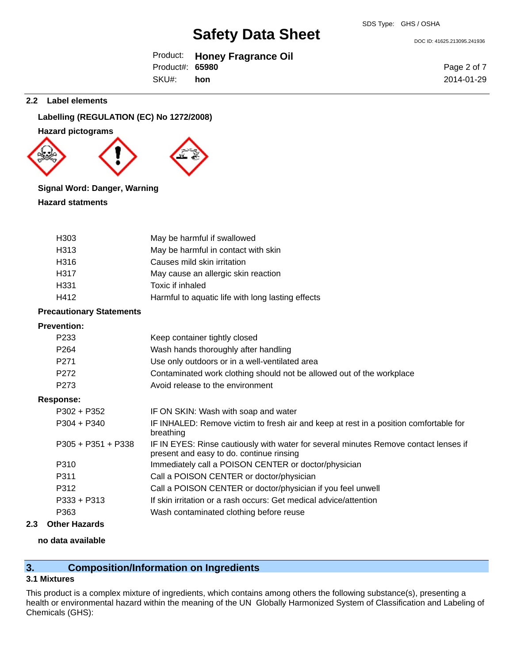DOC ID: 41625.213095.241936

|                 | Product: Honey Fragrance Oil |
|-----------------|------------------------------|
| Product#: 65980 |                              |
| SKU#: hon       |                              |

Page 2 of 7 2014-01-29

#### **2.2 Label elements**

**Labelling (REGULATION (EC) No 1272/2008)**

**Hazard pictograms**



## **Signal Word: Danger, Warning**

**Hazard statments**

| H303 | May be harmful if swallowed                       |
|------|---------------------------------------------------|
| H313 | May be harmful in contact with skin               |
| H316 | Causes mild skin irritation                       |
| H317 | May cause an allergic skin reaction               |
| H331 | Toxic if inhaled                                  |
| H412 | Harmful to aquatic life with long lasting effects |

## **Precautionary Statements**

| <b>Prevention:</b>   |                                                                                                                                  |
|----------------------|----------------------------------------------------------------------------------------------------------------------------------|
| P <sub>233</sub>     | Keep container tightly closed                                                                                                    |
| P <sub>264</sub>     | Wash hands thoroughly after handling                                                                                             |
| P <sub>271</sub>     | Use only outdoors or in a well-ventilated area                                                                                   |
| P <sub>272</sub>     | Contaminated work clothing should not be allowed out of the workplace                                                            |
| P <sub>273</sub>     | Avoid release to the environment                                                                                                 |
| <b>Response:</b>     |                                                                                                                                  |
| $P302 + P352$        | IF ON SKIN: Wash with soap and water                                                                                             |
| $P304 + P340$        | IF INHALED: Remove victim to fresh air and keep at rest in a position comfortable for<br>breathing                               |
| $P305 + P351 + P338$ | IF IN EYES: Rinse cautiously with water for several minutes Remove contact lenses if<br>present and easy to do. continue rinsing |
| P310                 | Immediately call a POISON CENTER or doctor/physician                                                                             |
| P311                 | Call a POISON CENTER or doctor/physician                                                                                         |
| P312                 | Call a POISON CENTER or doctor/physician if you feel unwell                                                                      |
| $P333 + P313$        | If skin irritation or a rash occurs: Get medical advice/attention                                                                |
| P363                 | Wash contaminated clothing before reuse                                                                                          |

## **2.3 Other Hazards**

## **no data available**

## **3. Composition/Information on Ingredients**

## **3.1 Mixtures**

This product is a complex mixture of ingredients, which contains among others the following substance(s), presenting a health or environmental hazard within the meaning of the UN Globally Harmonized System of Classification and Labeling of Chemicals (GHS):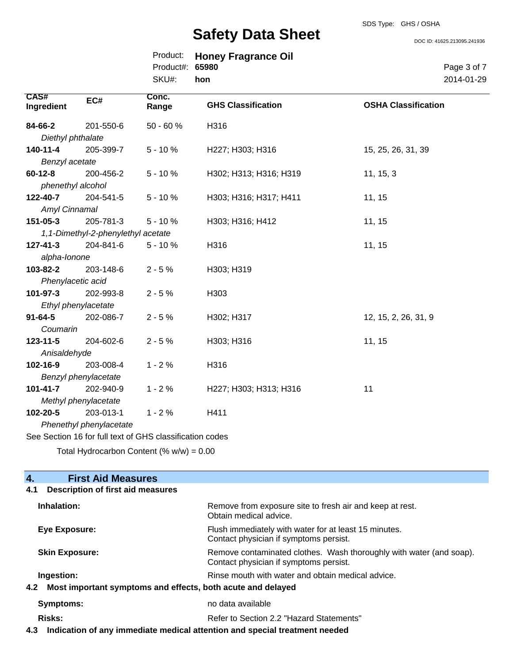DOC ID: 41625.213095.241936

|                 | Product: Honey Fragrance Oil |
|-----------------|------------------------------|
| Product#: 65980 |                              |
| SKU#: hon       |                              |

Page 3 of 7 2014-01-29

| CAS#<br>Ingredient | EC#                                | Conc.<br>Range                                           | <b>GHS Classification</b> | <b>OSHA Classification</b> |
|--------------------|------------------------------------|----------------------------------------------------------|---------------------------|----------------------------|
| 84-66-2            | 201-550-6                          | 50 - 60 %                                                | H316                      |                            |
| Diethyl phthalate  |                                    |                                                          |                           |                            |
| 140-11-4           | 205-399-7                          | $5 - 10%$                                                | H227; H303; H316          | 15, 25, 26, 31, 39         |
| Benzyl acetate     |                                    |                                                          |                           |                            |
| $60 - 12 - 8$      | 200-456-2                          | $5 - 10%$                                                | H302; H313; H316; H319    | 11, 15, 3                  |
| phenethyl alcohol  |                                    |                                                          |                           |                            |
| 122-40-7           | 204-541-5                          | $5 - 10%$                                                | H303; H316; H317; H411    | 11, 15                     |
| Amyl Cinnamal      |                                    |                                                          |                           |                            |
| 151-05-3           | 205-781-3                          | $5 - 10%$                                                | H303; H316; H412          | 11, 15                     |
|                    | 1,1-Dimethyl-2-phenylethyl acetate |                                                          |                           |                            |
| $127 - 41 - 3$     | 204-841-6                          | $5 - 10%$                                                | H316                      | 11, 15                     |
| alpha-lonone       |                                    |                                                          |                           |                            |
| 103-82-2           | 203-148-6                          | $2 - 5%$                                                 | H303; H319                |                            |
| Phenylacetic acid  |                                    |                                                          |                           |                            |
| 101-97-3           | 202-993-8                          | $2 - 5%$                                                 | H303                      |                            |
|                    | Ethyl phenylacetate                |                                                          |                           |                            |
| $91 - 64 - 5$      | 202-086-7                          | $2 - 5%$                                                 | H302; H317                | 12, 15, 2, 26, 31, 9       |
| Coumarin           |                                    |                                                          |                           |                            |
| $123 - 11 - 5$     | 204-602-6                          | $2 - 5%$                                                 | H303; H316                | 11, 15                     |
| Anisaldehyde       |                                    |                                                          |                           |                            |
| 102-16-9           | 203-008-4                          | $1 - 2%$                                                 | H316                      |                            |
|                    | Benzyl phenylacetate               |                                                          |                           |                            |
| $101 - 41 - 7$     | 202-940-9                          | $1 - 2%$                                                 | H227; H303; H313; H316    | 11                         |
|                    | Methyl phenylacetate               |                                                          |                           |                            |
| 102-20-5           | 203-013-1                          | $1 - 2%$                                                 | H411                      |                            |
|                    | Phenethyl phenylacetate            |                                                          |                           |                            |
|                    |                                    | See Section 16 for full text of GHS classification codes |                           |                            |

Total Hydrocarbon Content  $(\% w/w) = 0.00$ 

## **4. First Aid Measures**

# **4.1 Description of first aid measures**

| Inhalation:           | Remove from exposure site to fresh air and keep at rest.<br>Obtain medical advice.                            |
|-----------------------|---------------------------------------------------------------------------------------------------------------|
| Eye Exposure:         | Flush immediately with water for at least 15 minutes.<br>Contact physician if symptoms persist.               |
| <b>Skin Exposure:</b> | Remove contaminated clothes. Wash thoroughly with water (and soap).<br>Contact physician if symptoms persist. |
| Ingestion:            | Rinse mouth with water and obtain medical advice.                                                             |
| 4.2                   | Most important symptoms and effects, both acute and delayed                                                   |
| Symptoms:             | no data available                                                                                             |
| <b>Risks:</b>         | Refer to Section 2.2 "Hazard Statements"                                                                      |

**4.3 Indication of any immediate medical attention and special treatment needed**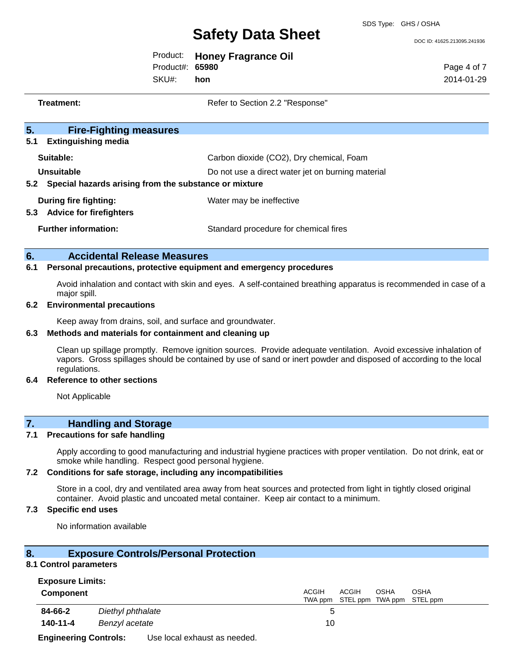DOC ID: 41625.213095.241936

|                 | Product: Honey Fragrance Oil |
|-----------------|------------------------------|
| Product#: 65980 |                              |
|                 |                              |

SKU#: **hon** Page 4 of 7 2014-01-29

**Treatment:** Refer to Section 2.2 "Response"

| 5 <sub>1</sub><br><b>Fire-Fighting measures</b>              |                                                   |
|--------------------------------------------------------------|---------------------------------------------------|
| <b>Extinguishing media</b><br>5.1                            |                                                   |
| Suitable:                                                    | Carbon dioxide (CO2), Dry chemical, Foam          |
| Unsuitable                                                   | Do not use a direct water jet on burning material |
| Special hazards arising from the substance or mixture<br>5.2 |                                                   |
| During fire fighting:                                        | Water may be ineffective                          |
| <b>Advice for firefighters</b><br>5.3                        |                                                   |
| <b>Further information:</b>                                  | Standard procedure for chemical fires             |
|                                                              |                                                   |

## **6. Accidental Release Measures**

## **6.1 Personal precautions, protective equipment and emergency procedures**

Avoid inhalation and contact with skin and eyes. A self-contained breathing apparatus is recommended in case of a major spill.

## **6.2 Environmental precautions**

Keep away from drains, soil, and surface and groundwater.

#### **6.3 Methods and materials for containment and cleaning up**

Clean up spillage promptly. Remove ignition sources. Provide adequate ventilation. Avoid excessive inhalation of vapors. Gross spillages should be contained by use of sand or inert powder and disposed of according to the local regulations.

#### **6.4 Reference to other sections**

Not Applicable

## **7. Handling and Storage**

## **7.1 Precautions for safe handling**

Apply according to good manufacturing and industrial hygiene practices with proper ventilation. Do not drink, eat or smoke while handling. Respect good personal hygiene.

## **7.2 Conditions for safe storage, including any incompatibilities**

Store in a cool, dry and ventilated area away from heat sources and protected from light in tightly closed original container. Avoid plastic and uncoated metal container. Keep air contact to a minimum.

## **7.3 Specific end uses**

No information available

## **8. Exposure Controls/Personal Protection**

#### **8.1 Control parameters**

| <b>Exposure Limits:</b>      |                              |                                                                            |  |
|------------------------------|------------------------------|----------------------------------------------------------------------------|--|
| <b>Component</b>             |                              | <b>ACGIH</b><br>ACGIH<br>OSHA<br>OSHA<br>TWA ppm STEL ppm TWA ppm STEL ppm |  |
| 84-66-2                      | Diethyl phthalate            |                                                                            |  |
| 140-11-4                     | Benzyl acetate               | 10                                                                         |  |
| <b>Engineering Controls:</b> | Use local exhaust as needed. |                                                                            |  |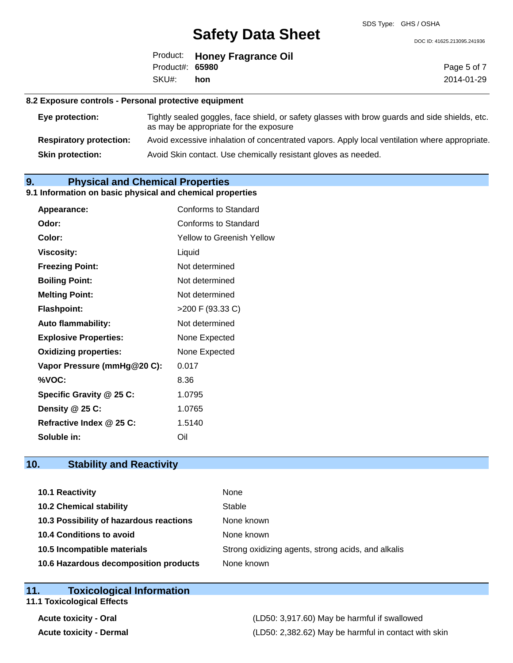DOC ID: 41625.213095.241936

|                 | Product: Honey Fragrance Oil |
|-----------------|------------------------------|
| Product#: 65980 |                              |
| SKU#: hon       |                              |

Page 5 of 7 2014-01-29

## **8.2 Exposure controls - Personal protective equipment**

| Eye protection:                | Tightly sealed goggles, face shield, or safety glasses with brow guards and side shields, etc.<br>as may be appropriate for the exposure |
|--------------------------------|------------------------------------------------------------------------------------------------------------------------------------------|
| <b>Respiratory protection:</b> | Avoid excessive inhalation of concentrated vapors. Apply local ventilation where appropriate.                                            |
| <b>Skin protection:</b>        | Avoid Skin contact. Use chemically resistant gloves as needed.                                                                           |

## **9. Physical and Chemical Properties**

## **9.1 Information on basic physical and chemical properties**

| Appearance:                  | Conforms to Standard             |
|------------------------------|----------------------------------|
| Odor:                        | Conforms to Standard             |
| Color:                       | <b>Yellow to Greenish Yellow</b> |
| <b>Viscosity:</b>            | Liquid                           |
| <b>Freezing Point:</b>       | Not determined                   |
| <b>Boiling Point:</b>        | Not determined                   |
| <b>Melting Point:</b>        | Not determined                   |
| <b>Flashpoint:</b>           | >200 F (93.33 C)                 |
| <b>Auto flammability:</b>    | Not determined                   |
| <b>Explosive Properties:</b> | None Expected                    |
| <b>Oxidizing properties:</b> | None Expected                    |
| Vapor Pressure (mmHg@20 C):  | 0.017                            |
| %VOC:                        | 8.36                             |
| Specific Gravity @ 25 C:     | 1.0795                           |
| Density @ 25 C:              | 1.0765                           |
| Refractive Index @ 25 C:     | 1.5140                           |
| Soluble in:                  | Oil                              |

## **10. Stability and Reactivity**

| <b>10.1 Reactivity</b>                  | None                                               |
|-----------------------------------------|----------------------------------------------------|
| <b>10.2 Chemical stability</b>          | Stable                                             |
| 10.3 Possibility of hazardous reactions | None known                                         |
| <b>10.4 Conditions to avoid</b>         | None known                                         |
| 10.5 Incompatible materials             | Strong oxidizing agents, strong acids, and alkalis |
| 10.6 Hazardous decomposition products   | None known                                         |

| 11 <sub>1</sub> | <b>Toxicological Information</b>  |  |
|-----------------|-----------------------------------|--|
|                 | <b>11.1 Toxicological Effects</b> |  |

**Acute toxicity - Oral** (LD50: 3,917.60) May be harmful if swallowed **Acute toxicity - Dermal** (LD50: 2,382.62) May be harmful in contact with skin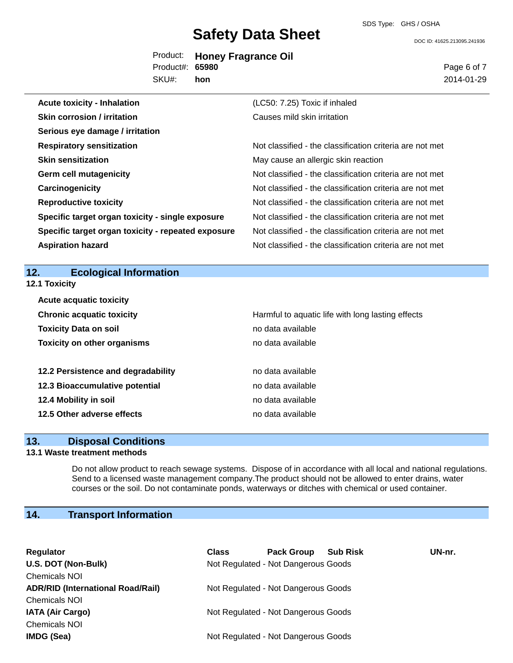DOC ID: 41625.213095.241936

|                 | Product: Honey Fragrance Oil |
|-----------------|------------------------------|
| Product#: 65980 |                              |
| SKU#: hon       |                              |

Page 6 of 7 2014-01-29

| <b>Acute toxicity - Inhalation</b>                 | (LC50: 7.25) Toxic if inhaled                            |
|----------------------------------------------------|----------------------------------------------------------|
| <b>Skin corrosion / irritation</b>                 | Causes mild skin irritation                              |
| Serious eye damage / irritation                    |                                                          |
| <b>Respiratory sensitization</b>                   | Not classified - the classification criteria are not met |
| <b>Skin sensitization</b>                          | May cause an allergic skin reaction                      |
| <b>Germ cell mutagenicity</b>                      | Not classified - the classification criteria are not met |
| Carcinogenicity                                    | Not classified - the classification criteria are not met |
| <b>Reproductive toxicity</b>                       | Not classified - the classification criteria are not met |
| Specific target organ toxicity - single exposure   | Not classified - the classification criteria are not met |
| Specific target organ toxicity - repeated exposure | Not classified - the classification criteria are not met |
| <b>Aspiration hazard</b>                           | Not classified - the classification criteria are not met |
|                                                    |                                                          |

## **12. Ecological Information**

**12.1 Toxicity**

| <b>Acute acquatic toxicity</b>     |                                                   |
|------------------------------------|---------------------------------------------------|
| <b>Chronic acquatic toxicity</b>   | Harmful to aquatic life with long lasting effects |
| <b>Toxicity Data on soil</b>       | no data available                                 |
| <b>Toxicity on other organisms</b> | no data available                                 |
|                                    |                                                   |
| 12.2 Persistence and degradability | no data available                                 |
| 12.3 Bioaccumulative potential     | no data available                                 |
| 12.4 Mobility in soil              | no data available                                 |
| 12.5 Other adverse effects         | no data available                                 |

## **13. Disposal Conditions**

## **13.1 Waste treatment methods**

Do not allow product to reach sewage systems. Dispose of in accordance with all local and national regulations. Send to a licensed waste management company.The product should not be allowed to enter drains, water courses or the soil. Do not contaminate ponds, waterways or ditches with chemical or used container.

## **14. Transport Information**

| Regulator                                | <b>Class</b> | <b>Pack Group</b>                   | <b>Sub Risk</b> | UN-nr. |
|------------------------------------------|--------------|-------------------------------------|-----------------|--------|
| U.S. DOT (Non-Bulk)                      |              | Not Regulated - Not Dangerous Goods |                 |        |
| <b>Chemicals NOI</b>                     |              |                                     |                 |        |
| <b>ADR/RID (International Road/Rail)</b> |              | Not Regulated - Not Dangerous Goods |                 |        |
| <b>Chemicals NOI</b>                     |              |                                     |                 |        |
| <b>IATA (Air Cargo)</b>                  |              | Not Regulated - Not Dangerous Goods |                 |        |
| <b>Chemicals NOI</b>                     |              |                                     |                 |        |
| <b>IMDG (Sea)</b>                        |              | Not Regulated - Not Dangerous Goods |                 |        |